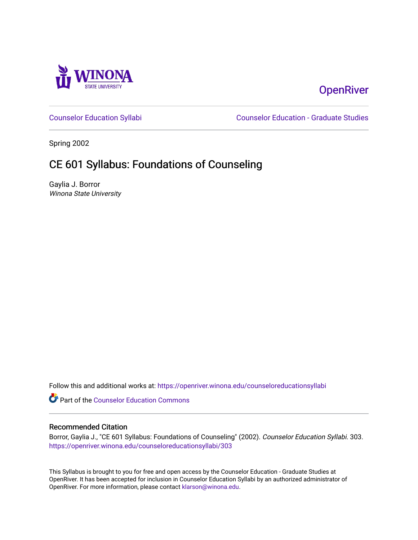

# **OpenRiver**

[Counselor Education Syllabi](https://openriver.winona.edu/counseloreducationsyllabi) [Counselor Education - Graduate Studies](https://openriver.winona.edu/counseloreducation) 

Spring 2002

# CE 601 Syllabus: Foundations of Counseling

Gaylia J. Borror Winona State University

Follow this and additional works at: [https://openriver.winona.edu/counseloreducationsyllabi](https://openriver.winona.edu/counseloreducationsyllabi?utm_source=openriver.winona.edu%2Fcounseloreducationsyllabi%2F303&utm_medium=PDF&utm_campaign=PDFCoverPages)

Part of the [Counselor Education Commons](http://network.bepress.com/hgg/discipline/1278?utm_source=openriver.winona.edu%2Fcounseloreducationsyllabi%2F303&utm_medium=PDF&utm_campaign=PDFCoverPages) 

#### Recommended Citation

Borror, Gaylia J., "CE 601 Syllabus: Foundations of Counseling" (2002). Counselor Education Syllabi. 303. [https://openriver.winona.edu/counseloreducationsyllabi/303](https://openriver.winona.edu/counseloreducationsyllabi/303?utm_source=openriver.winona.edu%2Fcounseloreducationsyllabi%2F303&utm_medium=PDF&utm_campaign=PDFCoverPages)

This Syllabus is brought to you for free and open access by the Counselor Education - Graduate Studies at OpenRiver. It has been accepted for inclusion in Counselor Education Syllabi by an authorized administrator of OpenRiver. For more information, please contact [klarson@winona.edu](mailto:klarson@winona.edu).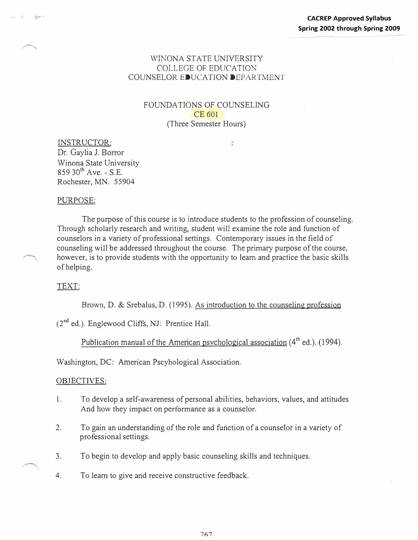## WINONA STATE UNIVERSITY COLLEGE OF EDUCATION COUNSELOR EDUCATION DEPARTMENT

## FOUNDATIONS OF COUNSELING CE 601 (Three Semester Hours)

÷

INSTRUCTOR: Dr. Gaylia J. Borror Winona State University  $85930^{th}$  Ave. - S.E. Rochester, MN. 55904

#### PURPOSE:

The purpose of this course is to introduce students to the profession of counseling. Through scholarly research and writing, student will examine the role and function of counselors in a variety of professional settings. Contemporary issues in the field of counseling will be addressed throughout the course. The primary purpose of the course, however, is to provide students with the opportunity to learn and practice the basic skills of helping.

#### TEXT:

Brown, D. & Srebalus, D. (1995). As introduction to the counseling profession

(2nd ed.). Englewood Cliffs, NJ: Prentice Hall.

# Publication manual of the American psychological association (4<sup>th</sup> ed.). (1994).

Washington, DC: American Pscyhological Association.

#### OBJECTIVES:

- I. To develop a self-awareness of personal abilities, behaviors, values, and attitudes And how they impact on performance as a counselor.
- 2. To gain an understanding of the role and function of a counselor in a variety of professional settings.
- 3. To begin to develop and apply basic counseling skills and techniques.
- 4. To learn to give and receive constructive feedback.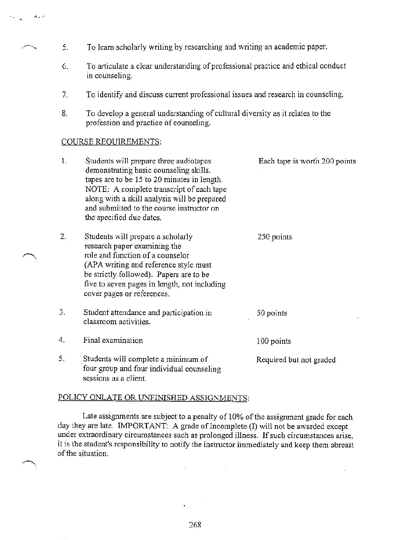- 5. To learn scholarly writing by researching and writing an academic paper.
- To articulate a clear understanding of professional practice and ethical conduct 6. in counseling.
- $7<sub>1</sub>$ To identify and discuss current professional issues and research in counseling.
- To develop a general understanding of cultural diversity as it relates to the 8. profession and practice of counseling.

#### COURSE REQUIREMENTS:

الدانيون والمجر

| $\mathbf{1}$ . | Students will prepare three audiotapes.<br>demonstrating basic counseling skills.<br>tapes are to be 15 to 20 minutes in length.<br>NOTE: A complete transcript of each tape<br>along with a skill analysis will be prepared<br>and submitted to the course instructor on<br>the specified due dates. | Each tape is worth 200 points |
|----------------|-------------------------------------------------------------------------------------------------------------------------------------------------------------------------------------------------------------------------------------------------------------------------------------------------------|-------------------------------|
| 2.             | Students will prepare a scholarly<br>research paper examining the<br>role and function of a counselor<br>(APA writing and reference style must<br>be strictly followed). Papers are to be<br>five to seven pages in length, not including<br>cover pages or references.                               | 250 points                    |
| 3.             | Student attendance and participation in<br>classroom activities.                                                                                                                                                                                                                                      | 50 points                     |
| 4.             | Final examination                                                                                                                                                                                                                                                                                     | 100 points                    |
| 5.             | Students will complete a minimum of<br>four group and four individual counseling<br>sessions as a client.                                                                                                                                                                                             | Required but not graded       |

#### POLICY ONLATE OR UNFINISHED ASSIGNMENTS:

Late assignments are subject to a penalty of 10% of the assignment grade for each day they are late. IMPORTANT: A grade of Incomplete (I) will not be awarded except under extraordinary circumstances such as prolonged illness. If such circumstances arise, it is the student's responsibility to notify the instructor immediately and keep them abreast of the situation.

 $\ddot{\nu}$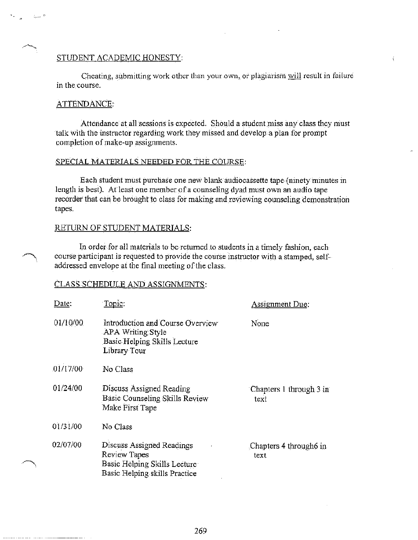#### STUDENT ACADEMIC HONESTY:

Cheating, submitting work other than your own, or plagiarism will result in failure in the course.

#### ATTENDANCE:

Attendance at all sessions is expected. Should a student miss any class they must talk with the instructor regarding work they missed and develop a plan for prompt completion of make-up assignments.

## SPECIAL MATERIALS NEEDED FOR THE COURSE:

Each student must purchase one new blank audiocassette tape (ninety minutes in length is best). At least one member of a counseling dyad must own an audio tape recorder that can be brought to class for making and reviewing counseling demonstration tapes.

#### RETURN OF STUDENT MATERIALS:

In order for all materials to be returned to students in a timely fashion, each course participant is requested to provide the course instructor with a stamped, selfaddressed envelope at the final meeting of the class.

#### CLASS SCHEDULE AND ASSIGNMENTS:

| Date:    | Topic:                                                                                                     | Assignment Due:                 |
|----------|------------------------------------------------------------------------------------------------------------|---------------------------------|
| 01/10/00 | Introduction and Course Overview<br>APA Writing Style<br>Basic Helping Skills Lecture<br>Library Tour      | None                            |
| 01/17/00 | No Class                                                                                                   |                                 |
| 01/24/00 | Discuss Assigned Reading<br>Basic Counseling Skills Review<br>Make First Tape                              | Chapters 1 through 3 in<br>text |
| 01/31/00 | No Class                                                                                                   |                                 |
| 02/07/00 | Discuss Assigned Readings<br>Review Tapes<br>Basic Helping Skills Lecture<br>Basic Helping skills Practice | Chapters 4 through 6 in<br>text |